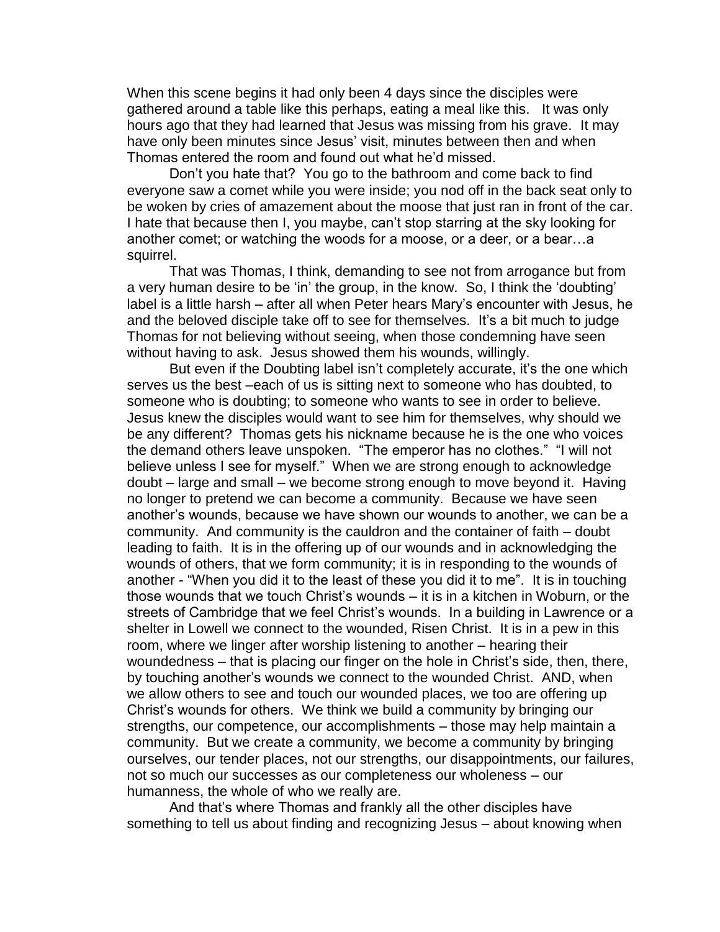When this scene begins it had only been 4 days since the disciples were gathered around a table like this perhaps, eating a meal like this. It was only hours ago that they had learned that Jesus was missing from his grave. It may have only been minutes since Jesus' visit, minutes between then and when Thomas entered the room and found out what he'd missed.

Don't you hate that? You go to the bathroom and come back to find everyone saw a comet while you were inside; you nod off in the back seat only to be woken by cries of amazement about the moose that just ran in front of the car. I hate that because then I, you maybe, can't stop starring at the sky looking for another comet; or watching the woods for a moose, or a deer, or a bear…a squirrel.

That was Thomas, I think, demanding to see not from arrogance but from a very human desire to be 'in' the group, in the know. So, I think the 'doubting' label is a little harsh – after all when Peter hears Mary's encounter with Jesus, he and the beloved disciple take off to see for themselves. It's a bit much to judge Thomas for not believing without seeing, when those condemning have seen without having to ask. Jesus showed them his wounds, willingly.

But even if the Doubting label isn't completely accurate, it's the one which serves us the best –each of us is sitting next to someone who has doubted, to someone who is doubting; to someone who wants to see in order to believe. Jesus knew the disciples would want to see him for themselves, why should we be any different? Thomas gets his nickname because he is the one who voices the demand others leave unspoken. "The emperor has no clothes." "I will not believe unless I see for myself." When we are strong enough to acknowledge doubt – large and small – we become strong enough to move beyond it. Having no longer to pretend we can become a community. Because we have seen another's wounds, because we have shown our wounds to another, we can be a community. And community is the cauldron and the container of faith – doubt leading to faith. It is in the offering up of our wounds and in acknowledging the wounds of others, that we form community; it is in responding to the wounds of another - "When you did it to the least of these you did it to me". It is in touching those wounds that we touch Christ's wounds – it is in a kitchen in Woburn, or the streets of Cambridge that we feel Christ's wounds. In a building in Lawrence or a shelter in Lowell we connect to the wounded, Risen Christ. It is in a pew in this room, where we linger after worship listening to another – hearing their woundedness – that is placing our finger on the hole in Christ's side, then, there, by touching another's wounds we connect to the wounded Christ. AND, when we allow others to see and touch our wounded places, we too are offering up Christ's wounds for others. We think we build a community by bringing our strengths, our competence, our accomplishments – those may help maintain a community. But we create a community, we become a community by bringing ourselves, our tender places, not our strengths, our disappointments, our failures, not so much our successes as our completeness our wholeness – our humanness, the whole of who we really are.

And that's where Thomas and frankly all the other disciples have something to tell us about finding and recognizing Jesus – about knowing when